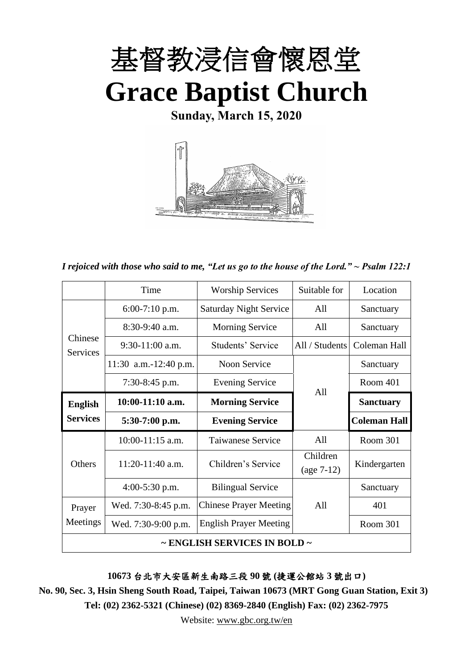

**Sunday, March 15, 2020**



*I rejoiced with those who said to me, "Let us go to the house of the Lord." ~ Psalm 122:1*

|                            | Time                  | <b>Worship Services</b>       | Suitable for   | Location            |  |
|----------------------------|-----------------------|-------------------------------|----------------|---------------------|--|
|                            | $6:00-7:10$ p.m.      | <b>Saturday Night Service</b> | All            | Sanctuary           |  |
|                            | $8:30-9:40$ a.m.      | All<br><b>Morning Service</b> |                | Sanctuary           |  |
| Chinese<br><b>Services</b> | $9:30-11:00$ a.m.     | Students' Service             | All / Students | Coleman Hall        |  |
|                            | 11:30 a.m.-12:40 p.m. | Noon Service                  |                | Sanctuary           |  |
|                            | $7:30-8:45$ p.m.      | <b>Evening Service</b>        | All            | Room 401            |  |
| <b>English</b>             | $10:00-11:10$ a.m.    | <b>Morning Service</b>        |                | <b>Sanctuary</b>    |  |
| <b>Services</b>            | $5:30-7:00$ p.m.      | <b>Evening Service</b>        |                | <b>Coleman Hall</b> |  |
|                            | $10:00-11:15$ a.m.    | <b>Taiwanese Service</b>      | A11            | Room 301            |  |
| Others                     | 11:20-11:40 a.m.      | Children's Service            | Children       | Kindergarten        |  |
|                            |                       |                               | $(age 7-12)$   |                     |  |
|                            | $4:00-5:30$ p.m.      | <b>Bilingual Service</b>      |                | Sanctuary           |  |
| Prayer                     | Wed. 7:30-8:45 p.m.   | <b>Chinese Prayer Meeting</b> | A11            | 401                 |  |
| Meetings                   | Wed. 7:30-9:00 p.m.   | <b>English Prayer Meeting</b> |                | Room 301            |  |
|                            |                       | ~ ENGLISH SERVICES IN BOLD ~  |                |                     |  |

**10673** 台北市大安區新生南路三段 **90** 號 **(**捷運公館站 **3** 號出口**)**

**No. 90, Sec. 3, Hsin Sheng South Road, Taipei, Taiwan 10673 (MRT Gong Guan Station, Exit 3) Tel: (02) 2362-5321 (Chinese) (02) 8369-2840 (English) Fax: (02) 2362-7975**

Website: [www.gbc.org.tw/en](http://www.gbc.org.tw/en)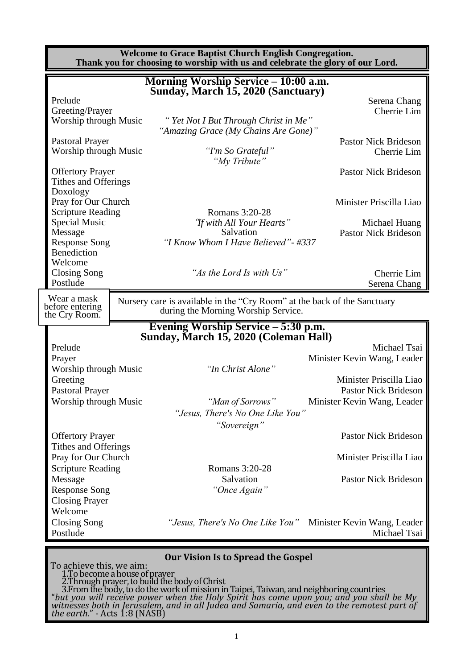| <b>Welcome to Grace Baptist Church English Congregation.</b><br>Thank you for choosing to worship with us and celebrate the glory of our Lord. |                                                                                                                                            |                                              |  |  |
|------------------------------------------------------------------------------------------------------------------------------------------------|--------------------------------------------------------------------------------------------------------------------------------------------|----------------------------------------------|--|--|
|                                                                                                                                                | Morning Worship Service - 10:00 a.m.<br>Sunday, March 15, 2020 (Sanctuary)                                                                 |                                              |  |  |
| Prelude                                                                                                                                        |                                                                                                                                            | Serena Chang                                 |  |  |
| Greeting/Prayer                                                                                                                                |                                                                                                                                            | Cherrie Lim                                  |  |  |
| Worship through Music                                                                                                                          | "Yet Not I But Through Christ in Me"<br>"Amazing Grace (My Chains Are Gone)"                                                               |                                              |  |  |
| <b>Pastoral Prayer</b>                                                                                                                         |                                                                                                                                            | <b>Pastor Nick Brideson</b>                  |  |  |
| <b>Worship through Music</b>                                                                                                                   | "I'm So Grateful"<br>"My Tribute"                                                                                                          | Cherrie Lim                                  |  |  |
| <b>Offertory Prayer</b>                                                                                                                        |                                                                                                                                            | <b>Pastor Nick Brideson</b>                  |  |  |
| Tithes and Offerings                                                                                                                           |                                                                                                                                            |                                              |  |  |
| Doxology                                                                                                                                       |                                                                                                                                            |                                              |  |  |
| Pray for Our Church                                                                                                                            |                                                                                                                                            | Minister Priscilla Liao                      |  |  |
| <b>Scripture Reading</b><br>Special Music                                                                                                      | Romans 3:20-28                                                                                                                             |                                              |  |  |
| Message                                                                                                                                        | "If with All Your Hearts"<br>Salvation                                                                                                     | Michael Huang<br><b>Pastor Nick Brideson</b> |  |  |
| <b>Response Song</b>                                                                                                                           | "I Know Whom I Have Believed" - #337                                                                                                       |                                              |  |  |
| Benediction                                                                                                                                    |                                                                                                                                            |                                              |  |  |
| Welcome                                                                                                                                        |                                                                                                                                            |                                              |  |  |
| <b>Closing Song</b>                                                                                                                            | "As the Lord Is with Us"                                                                                                                   | Cherrie Lim                                  |  |  |
| Postlude                                                                                                                                       |                                                                                                                                            | Serena Chang                                 |  |  |
| Wear a mask<br>before entering<br>the Cry Room.                                                                                                | Nursery care is available in the "Cry Room" at the back of the Sanctuary<br>during the Morning Worship Service.                            |                                              |  |  |
|                                                                                                                                                | Evening Worship Service – 5:30 p.m.<br>Sunday, March 15, 2020 (Coleman Hall)                                                               |                                              |  |  |
|                                                                                                                                                |                                                                                                                                            |                                              |  |  |
| Prelude                                                                                                                                        |                                                                                                                                            | Michael Tsai                                 |  |  |
| Prayer                                                                                                                                         |                                                                                                                                            | Minister Kevin Wang, Leader                  |  |  |
| Worship through Music                                                                                                                          | "In Christ Alone"                                                                                                                          |                                              |  |  |
| Greeting                                                                                                                                       |                                                                                                                                            | Minister Priscilla Liao                      |  |  |
| <b>Pastoral Prayer</b>                                                                                                                         |                                                                                                                                            | Pastor Nick Brideson                         |  |  |
| Worship through Music                                                                                                                          | "Man of Sorrows                                                                                                                            | Minister Kevin Wang, Leader                  |  |  |
|                                                                                                                                                | "Jesus, There's No One Like You"                                                                                                           |                                              |  |  |
|                                                                                                                                                | "Sovereign"                                                                                                                                |                                              |  |  |
| <b>Offertory Prayer</b>                                                                                                                        |                                                                                                                                            | <b>Pastor Nick Brideson</b>                  |  |  |
| Tithes and Offerings                                                                                                                           |                                                                                                                                            |                                              |  |  |
| Pray for Our Church                                                                                                                            |                                                                                                                                            | Minister Priscilla Liao                      |  |  |
| <b>Scripture Reading</b>                                                                                                                       | Romans 3:20-28                                                                                                                             |                                              |  |  |
| Message                                                                                                                                        | Salvation                                                                                                                                  | <b>Pastor Nick Brideson</b>                  |  |  |
| <b>Response Song</b>                                                                                                                           | "Once Again"                                                                                                                               |                                              |  |  |
| <b>Closing Prayer</b>                                                                                                                          |                                                                                                                                            |                                              |  |  |
| Welcome                                                                                                                                        |                                                                                                                                            |                                              |  |  |
| <b>Closing Song</b>                                                                                                                            | "Jesus, There's No One Like You"                                                                                                           | Minister Kevin Wang, Leader                  |  |  |
| Postlude                                                                                                                                       |                                                                                                                                            | Michael Tsai                                 |  |  |
|                                                                                                                                                | <b>Our Vision Is to Spread the Gospel</b>                                                                                                  |                                              |  |  |
| To achieve this, we aim:<br>1.To become a house of prayer                                                                                      | 2. Through prayer, to build the body of Christ<br>3. From the body, to do the work of mission in Taipei, Taiwan, and neighboring countries |                                              |  |  |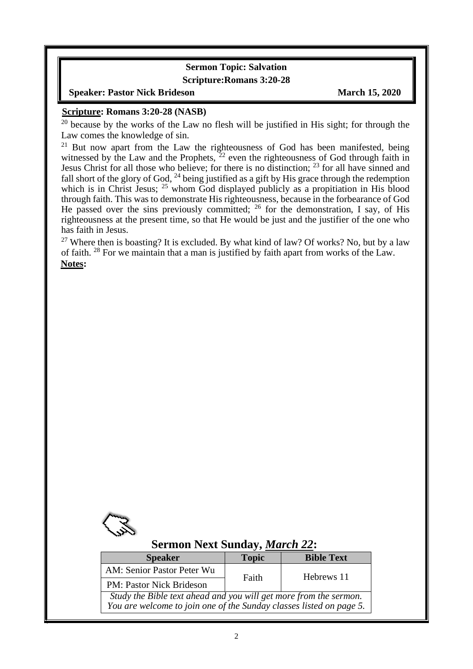#### **Sermon Topic: Salvation Scripture:Romans 3:20-28**

#### **Speaker: Pastor Nick Brideson March 15, 2020**

#### **Scripture: Romans 3:20-28 (NASB)**

 $20$  because by the works of the Law no flesh will be justified in His sight; for through the Law comes the knowledge of sin.

<sup>21</sup> But now apart from the Law the righteousness of God has been manifested, being witnessed by the Law and the Prophets,  $22$  even the righteousness of God through faith in Jesus Christ for all those who believe; for there is no distinction; <sup>23</sup> for all have sinned and fall short of the glory of God,  $^{24}$  being justified as a gift by His grace through the redemption which is in Christ Jesus; <sup>25</sup> whom God displayed publicly as a propitiation in His blood through faith. This was to demonstrate His righteousness, because in the forbearance of God He passed over the sins previously committed;  $^{26}$  for the demonstration, I say, of His righteousness at the present time, so that He would be just and the justifier of the one who has faith in Jesus.

<sup>27</sup> Where then is boasting? It is excluded. By what kind of law? Of works? No, but by a law of faith. <sup>28</sup> For we maintain that a man is justified by faith apart from works of the Law. **Notes:**



 $\overline{\phantom{a}}$ 

## **Sermon Next Sunday,** *March 22***:**

| <b>Speaker</b>                                                      | <b>Topic</b> | <b>Bible Text</b> |  |  |
|---------------------------------------------------------------------|--------------|-------------------|--|--|
| AM: Senior Pastor Peter Wu                                          | Faith        | Hebrews 11        |  |  |
| <b>PM: Pastor Nick Brideson</b>                                     |              |                   |  |  |
| Study the Bible text ahead and you will get more from the sermon.   |              |                   |  |  |
| You are welcome to join one of the Sunday classes listed on page 5. |              |                   |  |  |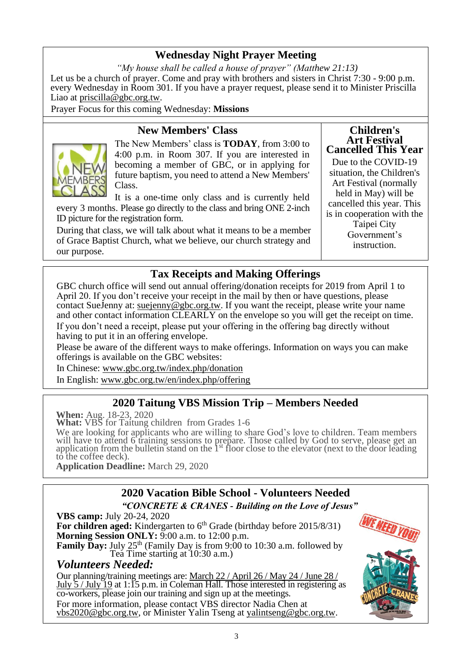# **Wednesday Night Prayer Meeting**

*"My house shall be called a house of prayer" (Matthew 21:13)* Let us be a church of prayer. Come and pray with brothers and sisters in Christ 7:30 - 9:00 p.m. every Wednesday in Room 301. If you have a prayer request, please send it to Minister Priscilla Liao at [priscilla@gbc.org.tw.](mailto:priscilla@gbc.org.tw)

Prayer Focus for this coming Wednesday: **Missions**

# **New Members' Class**



The New Members' class is **TODAY**, from 3:00 to 4:00 p.m. in Room 307. If you are interested in becoming a member of GBC, or in applying for future baptism*,* you need to attend a New Members' Class.

It is a one-time only class and is currently held every 3 months. Please go directly to the class and bring ONE 2-inch ID picture for the registration form.

During that class, we will talk about what it means to be a member of Grace Baptist Church, what we believe, our church strategy and our purpose.

#### **Children's Art Festival Cancelled This Year**

Due to the COVID-19 situation, the Children's Art Festival (normally held in May) will be cancelled this year. This is in cooperation with the Taipei City Government's instruction.

# **Tax Receipts and Making Offerings**

GBC church office will send out annual offering/donation receipts for 2019 from April 1 to April 20. If you don't receive your receipt in the mail by then or have questions, please contact SueJenny at: [suejenny@gbc.org.tw.](mailto:suejenny@gbc.org.tw) If you want the receipt, please write your name and other contact information CLEARLY on the envelope so you will get the receipt on time. If you don't need a receipt, please put your offering in the offering bag directly without having to put it in an offering envelope.

Please be aware of the different ways to make offerings. Information on ways you can make offerings is available on the GBC websites:

In Chinese: www.gbc.org.tw/index.php/donation In English: [www.gbc.org.tw/en/index.php/offering](http://www.gbc.org.tw/en/index.php/offering/)

# **2020 Taitung VBS Mission Trip – Members Needed**

**When:** Aug. 18-23, 2020

**What:** VBS for Taitung children from Grades 1-6

We are looking for applicants who are willing to share God's love to children. Team members will have to attend 6 training sessions to prepare. Those called by God to serve, please get an application from the bulletin stand on the  $1<sup>st</sup>$  floor close to the elevator (next to the door leading to the coffee deck).

**Application Deadline:** March 29, 2020

# **2020 Vacation Bible School - Volunteers Needed**

*"CONCRETE & CRANES - Building on the Love of Jesus"*

**VBS camp:** July 20-24, 2020 For children aged: Kindergarten to 6<sup>th</sup> Grade (birthday before 2015/8/31) **Morning Session ONLY:** 9:00 a.m. to 12:00 p.m. **Family Day:** July 25<sup>th</sup> (Family Day is from 9:00 to 10:30 a.m. followed by Tea Time starting at 10:30 a.m.) *Volunteers Needed:*

Our planning/training meetings are: March 22 / April 26 / May 24 / June 28 / July 5 / July 19 at 1:15 p.m. in Coleman Hall. Those interested in registering as co-workers, please join our training and sign up at the meetings. For more information, please contact VBS director Nadia Chen at [vbs2020@gbc.org.tw,](mailto:vbs2020@gbc.org.tw) or Minister Yalin Tseng at [yalintseng@gbc.org.tw.](mailto:yalintseng@gbc.org.tw)

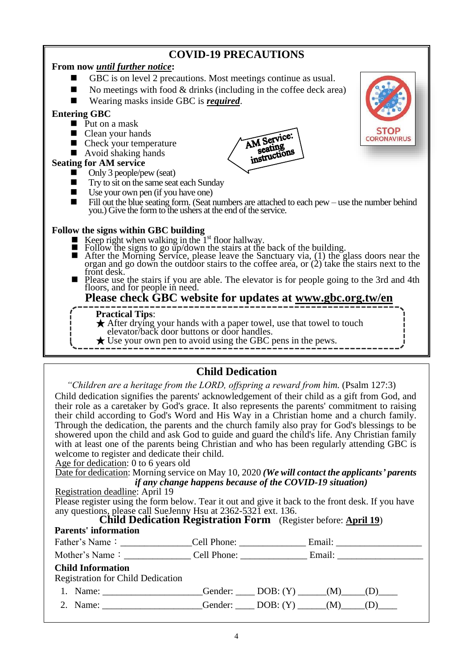# **COVID-19 PRECAUTIONS**

### **From now** *until further notice***:**

- GBC is on level 2 precautions. Most meetings continue as usual.
- No meetings with food  $&$  drinks (including in the coffee deck area)
- ◼ Wearing masks inside GBC is *required*.

#### **Entering GBC**

- Put on a mask
- Clean your hands
- Check your temperature
- $\blacksquare$  Avoid shaking hands

#### **Seating for AM service**

- Only 3 people/pew (seat)
- Try to sit on the same seat each Sunday
- Use your own pen (if you have one)
- Fill out the blue seating form. (Seat numbers are attached to each pew use the number behind you.) Give the form to the ushers at the end of the service.

AM Service:

Seating<br>seating instructions

#### **Follow the signs within GBC building**

- **E** Keep right when walking in the  $1<sup>st</sup>$  floor hallway.
- $\frac{1}{2}$  Follow the signs to go up/down the stairs at the back of the building.
- $\blacksquare$  After the Morning Service, please leave the Sanctuary via, (1) the glass doors near the organ and go down the outdoor stairs to the coffee area, or  $(2)$  take the stairs next to the front desk.
- Please use the stairs if you are able. The elevator is for people going to the 3rd and 4th floors, and for people in need.

## **Please check GBC website for updates at www.gbc.org.tw/en**

#### **Practical Tips**:

- **★** After drying your hands with a paper towel, use that towel to touch elevator/back door buttons or door handles.
- $\bigstar$  Use your own pen to avoid using the GBC pens in the pews.

## **Child Dedication**

*"Children are a heritage from the LORD, offspring a reward from him.* (Psalm 127:3)

Child dedication signifies the parents' acknowledgement of their child as a gift from God, and their role as a caretaker by God's grace. It also represents the parents' commitment to raising their child according to God's Word and His Way in a Christian home and a church family. Through the dedication, the parents and the church family also pray for God's blessings to be showered upon the child and ask God to guide and guard the child's life. Any Christian family with at least one of the parents being Christian and who has been regularly attending GBC is welcome to register and dedicate their child.

Age for dedication: 0 to 6 years old

Date for dedication: Morning service on May 10, 2020 *(We will contact the applicants' parents if any change happens because of the COVID-19 situation)*

#### Registration deadline: April 19

Please register using the form below. Tear it out and give it back to the front desk. If you have any questions, please call SueJenny Hsu at 2362-5321 ext. 136.

#### **Child Dedication Registration Form** (Register before: **April 19**)

#### **Parents' information**

| <b>Child Information</b><br><b>Registration for Child Dedication</b> |                                                   |  |
|----------------------------------------------------------------------|---------------------------------------------------|--|
| 1. Name:                                                             | [Gender: ______ DOB: (Y) ______(M) ____(D) _____  |  |
| 2. Name:                                                             | [Gender: ______ DOB: (Y) ______(M) _____(D) _____ |  |

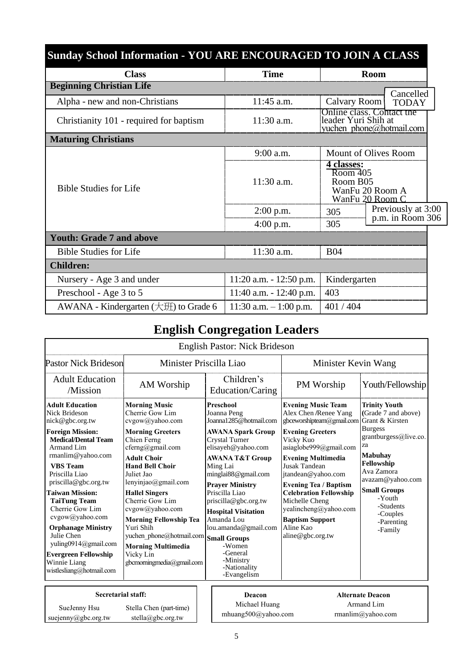| <b>Sunday School Information - YOU ARE ENCOURAGED TO JOIN A CLASS</b> |                            |                                    |                                                       |  |  |
|-----------------------------------------------------------------------|----------------------------|------------------------------------|-------------------------------------------------------|--|--|
| <b>Class</b>                                                          | <b>Time</b>                |                                    | <b>Room</b>                                           |  |  |
| <b>Beginning Christian Life</b>                                       |                            |                                    |                                                       |  |  |
| Alpha - new and non-Christians                                        | 11:45 a.m.                 | Calvary Room                       | Cancelled<br><b>TODAY</b>                             |  |  |
| Christianity 101 - required for baptism                               | 11:30 a.m.                 | leader Yuri Shih at                | Online class. Contact the<br>yuchen phone@hotmail.com |  |  |
| <b>Maturing Christians</b>                                            |                            |                                    |                                                       |  |  |
|                                                                       | $9:00$ a.m.                | Mount of Olives Room               |                                                       |  |  |
| <b>Bible Studies for Life</b>                                         | 11:30 a.m.                 | 4 classes:<br>Room 405<br>Room B05 | WanFu 20 Room A<br>WanFu 20 Room C                    |  |  |
|                                                                       | $2:00$ p.m.                | 305                                | Previously at 3:00                                    |  |  |
|                                                                       | $4:00$ p.m.                | 305                                | p.m. in Room 306                                      |  |  |
| <b>Youth: Grade 7 and above</b>                                       |                            |                                    |                                                       |  |  |
| <b>Bible Studies for Life</b>                                         | 11:30 a.m.                 | <b>B04</b>                         |                                                       |  |  |
| <b>Children:</b>                                                      |                            |                                    |                                                       |  |  |
| Nursery - Age 3 and under                                             | $11:20$ a.m. $-12:50$ p.m. | Kindergarten                       |                                                       |  |  |
| Preschool - Age 3 to 5                                                | 11:40 a.m. $- 12:40$ p.m.  | 403                                |                                                       |  |  |
| AWANA - Kindergarten $(\pm \mathcal{H})$ to Grade 6                   | 11:30 a.m. $-1:00$ p.m.    | 401/404                            |                                                       |  |  |

# **English Congregation Leaders**

|                                                                                                                                                                                                                                                                                                                                                                                                                                                          |                                                                                                                                                                                                                                                                                                                                                                                                                               | <b>English Pastor: Nick Brideson</b>                                                                                                                                                                                                                                                                                                                                                                                            |                                                                                                                                                                                                                                                                                                                                                                                              |                                                                                                                                                                                                                                                                      |
|----------------------------------------------------------------------------------------------------------------------------------------------------------------------------------------------------------------------------------------------------------------------------------------------------------------------------------------------------------------------------------------------------------------------------------------------------------|-------------------------------------------------------------------------------------------------------------------------------------------------------------------------------------------------------------------------------------------------------------------------------------------------------------------------------------------------------------------------------------------------------------------------------|---------------------------------------------------------------------------------------------------------------------------------------------------------------------------------------------------------------------------------------------------------------------------------------------------------------------------------------------------------------------------------------------------------------------------------|----------------------------------------------------------------------------------------------------------------------------------------------------------------------------------------------------------------------------------------------------------------------------------------------------------------------------------------------------------------------------------------------|----------------------------------------------------------------------------------------------------------------------------------------------------------------------------------------------------------------------------------------------------------------------|
| <b>Pastor Nick Brideson</b>                                                                                                                                                                                                                                                                                                                                                                                                                              | Minister Priscilla Liao                                                                                                                                                                                                                                                                                                                                                                                                       |                                                                                                                                                                                                                                                                                                                                                                                                                                 | Minister Kevin Wang                                                                                                                                                                                                                                                                                                                                                                          |                                                                                                                                                                                                                                                                      |
| <b>Adult Education</b><br>/Mission                                                                                                                                                                                                                                                                                                                                                                                                                       | AM Worship                                                                                                                                                                                                                                                                                                                                                                                                                    | Children's<br>Education/Caring                                                                                                                                                                                                                                                                                                                                                                                                  | PM Worship                                                                                                                                                                                                                                                                                                                                                                                   | Youth/Fellowship                                                                                                                                                                                                                                                     |
| <b>Adult Education</b><br>Nick Brideson<br>nick@gbc.org.tw<br><b>Foreign Mission:</b><br><b>Medical/Dental Team</b><br>Armand Lim<br>rmanlim@yahoo.com<br><b>VBS</b> Team<br>Priscilla Liao<br>priscilla@gbc.org.tw<br><b>Taiwan Mission:</b><br><b>TaiTung Team</b><br>Cherrie Gow Lim<br>cvgow@yahoo.com<br><b>Orphanage Ministry</b><br>Julie Chen<br>yuling0914@gmail.com<br><b>Evergreen Fellowship</b><br>Winnie Liang<br>wistlesliang@hotmail.com | <b>Morning Music</b><br>Cherrie Gow Lim<br>cvgow@yahoo.com<br><b>Morning Greeters</b><br>Chien Ferng<br>cferng@gmail.com<br><b>Adult Choir</b><br><b>Hand Bell Choir</b><br>Juliet Jao<br>lenyinjao@gmail.com<br><b>Hallel Singers</b><br>Cherrie Gow Lim<br>cvgow@yahoo.com<br><b>Morning Fellowship Tea</b><br>Yuri Shih<br>yuchen phone@hotmail.com<br><b>Morning Multimedia</b><br>Vicky Lin<br>gbcmorningmedia@gmail.com | Preschool<br>Joanna Peng<br>Joanna1285@hotmail.com<br><b>AWANA Spark Group</b><br><b>Crystal Turner</b><br>elisayeh@yahoo.com<br><b>AWANA T&amp;T Group</b><br>Ming Lai<br>minglai88@gmail.com<br><b>Prayer Ministry</b><br>Priscilla Liao<br>priscilla@gbc.org.tw<br><b>Hospital Visitation</b><br>Amanda Lou<br>lou.amanda@gmail.com<br><b>Small Groups</b><br>-Women<br>-General<br>-Ministry<br>-Nationality<br>-Evangelism | <b>Evening Music Team</b><br>Alex Chen /Renee Yang<br>gbceworshipteam@gmail.com<br><b>Evening Greeters</b><br>Vicky Kuo<br>asiaglobe999@gmail.com<br><b>Evening Multimedia</b><br>Jusak Tandean<br>jtandean@yahoo.com<br><b>Evening Tea / Baptism</b><br><b>Celebration Fellowship</b><br>Michelle Cheng<br>yealincheng@yahoo.com<br><b>Baptism Support</b><br>Aline Kao<br>aline@gbc.org.tw | <b>Trinity Youth</b><br>(Grade 7 and above)<br>Grant & Kirsten<br><b>Burgess</b><br>grantburgess@live.co.<br>za<br><b>Mabuhay</b><br>Fellowship<br>Ava Zamora<br>avazam@yahoo.com<br><b>Small Groups</b><br>-Youth<br>-Students<br>-Couples<br>-Parenting<br>-Family |
| Secretarial staff:<br>SueJenny Hsu<br>suejenny@gbc.org.tw                                                                                                                                                                                                                                                                                                                                                                                                | Stella Chen (part-time)<br>stella@gbc.org.tw                                                                                                                                                                                                                                                                                                                                                                                  | Deacon<br>Michael Huang<br>mhuang500@yahoo.com                                                                                                                                                                                                                                                                                                                                                                                  |                                                                                                                                                                                                                                                                                                                                                                                              | <b>Alternate Deacon</b><br>Armand Lim<br>rmanlim@yahoo.com                                                                                                                                                                                                           |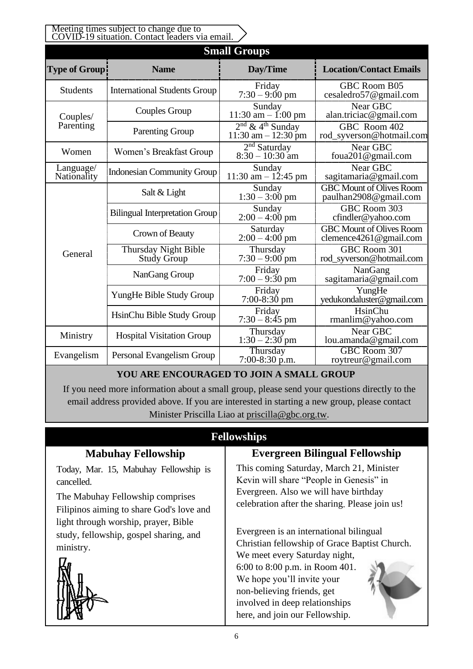| Meeting times subject to change due to<br>COVID-19 situation. Contact leaders via email. |                                            |                                                          |                                                               |  |  |
|------------------------------------------------------------------------------------------|--------------------------------------------|----------------------------------------------------------|---------------------------------------------------------------|--|--|
| <b>Small Groups</b>                                                                      |                                            |                                                          |                                                               |  |  |
| Type of Group!                                                                           | <b>Name</b>                                | Day/Time                                                 | <b>Location/Contact Emails</b>                                |  |  |
| <b>Students</b>                                                                          | <b>International Students Group</b>        | Friday<br>$7:30 - 9:00 \text{ pm}$                       | <b>GBC Room B05</b><br>cesaledro57@gmail.com                  |  |  |
| Couples/                                                                                 | Couples Group                              | Sunday<br>11:30 am $-$ 1:00 pm                           | Near GBC<br>alan.triciac@gmail.com                            |  |  |
| Parenting                                                                                | <b>Parenting Group</b>                     | $2nd$ & 4 <sup>th</sup> Sunday<br>$11:30$ am $-12:30$ pm | GBC Room 402<br>rod_syverson@hotmail.com                      |  |  |
| Women                                                                                    | Women's Breakfast Group                    | $2nd$ Saturday<br>$8:30 - 10:30$ am                      | Near GBC<br>foua201@gmail.com                                 |  |  |
| Language/<br>Nationality                                                                 | <b>Indonesian Community Group</b>          | Sunday<br>11:30 am $- 12:45$ pm                          | Near GBC<br>sagitamaria@gmail.com                             |  |  |
|                                                                                          | Salt & Light                               | Sunday<br>$1:30 - 3:00$ pm                               | <b>GBC Mount of Olives Room</b><br>paulhan2908@gmail.com      |  |  |
|                                                                                          | <b>Bilingual Interpretation Group</b>      | Sunday<br>$2:00 - 4:00$ pm                               | GBC Room 303<br>cfindler@yahoo.com                            |  |  |
|                                                                                          | Crown of Beauty                            | Saturday<br>$2:00 - 4:00$ pm                             | <b>GBC Mount of Olives Room</b><br>clemence $4261@$ gmail.com |  |  |
| General                                                                                  | Thursday Night Bible<br><b>Study Group</b> | Thursday<br>$7:30 - 9:00$ pm                             | GBC Room 301<br>rod_syverson@hotmail.com                      |  |  |
|                                                                                          | NanGang Group                              | Friday<br>$7:00 - 9:30$ pm                               | NanGang<br>sagitamaria@gmail.com                              |  |  |
|                                                                                          | YungHe Bible Study Group                   | Friday<br>$7:00-8:30$ pm                                 | YungHe<br>yedukondaluster@gmail.com                           |  |  |
|                                                                                          | HsinChu Bible Study Group                  | Friday<br>$7:30 - 8:45$ pm                               | HsinChu<br>rmanlim@yahoo.com                                  |  |  |
| Ministry                                                                                 | <b>Hospital Visitation Group</b>           | Thursday<br>$1:30 - 2:30$ pm                             | Near GBC<br>lou.amanda@gmail.com                              |  |  |
| Evangelism                                                                               | Personal Evangelism Group                  | Thursday<br>$7:00-8:30$ p.m.                             | GBC Room 307<br>roytreur@gmail.com                            |  |  |

# **YOU ARE ENCOURAGED TO JOIN A SMALL GROUP**

If you need more information about a small group, please send your questions directly to the email address provided above. If you are interested in starting a new group, please contact Minister Priscilla Liao at [priscilla@gbc.org.tw.](mailto:priscilla@gbc.org.tw)

## **Fellowships**

Today, Mar. 15, Mabuhay Fellowship is cancelled.

**Mabuhay Fellowship**

The Mabuhay Fellowship comprises Filipinos aiming to share God's love and light through worship, prayer, Bible study, fellowship, gospel sharing, and ministry.



# **Evergreen Bilingual Fellowship**

This coming Saturday, March 21, Minister Kevin will share "People in Genesis" in Evergreen. Also we will have birthday celebration after the sharing. Please join us!

Evergreen is an international bilingual Christian fellowship of Grace Baptist Church. We meet every Saturday night, 6:00 to 8:00 p.m. in Room 401. We hope you'll invite your non-believing friends, get involved in deep relationships